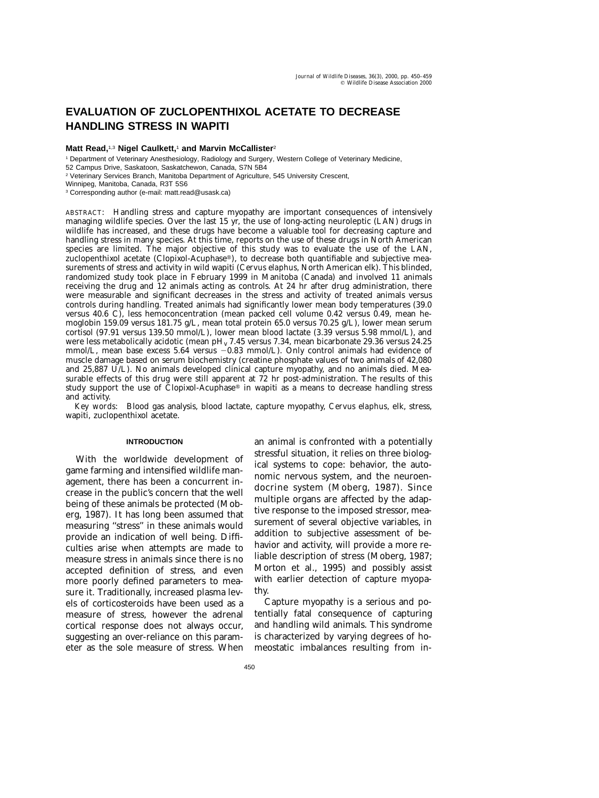# **EVALUATION OF ZUCLOPENTHIXOL ACETATE TO DECREASE HANDLING STRESS IN WAPITI**

# **Matt Read,**1,3 **Nigel Caulkett,**<sup>1</sup> **and Marvin McCallister**<sup>2</sup>

<sup>1</sup> Department of Veterinary Anesthesiology, Radiology and Surgery, Western College of Veterinary Medicine,

52 Campus Drive, Saskatoon, Saskatchewon, Canada, S7N 5B4

<sup>2</sup> Veterinary Services Branch, Manitoba Department of Agriculture, 545 University Crescent,

Winnipeg, Manitoba, Canada, R3T 5S6

<sup>3</sup> Corresponding author (e-mail: matt.read@usask.ca)

ABSTRACT: Handling stress and capture myopathy are important consequences of intensively managing wildlife species. Over the last 15 yr, the use of long-acting neuroleptic (LAN) drugs in wildlife has increased, and these drugs have become a valuable tool for decreasing capture and handling stress in many species. At this time, reports on the use of these drugs in North American species are limited. The major objective of this study was to evaluate the use of the LAN, zuclopenthixol acetate (Clopixol-Acuphase®), to decrease both quantifiable and subjective measurements of stress and activity in wild wapiti (*Cervus elaphus,* North American elk). This blinded, randomized study took place in February 1999 in Manitoba (Canada) and involved 11 animals receiving the drug and 12 animals acting as controls. At 24 hr after drug administration, there were measurable and significant decreases in the stress and activity of treated animals versus controls during handling. Treated animals had significantly lower mean body temperatures (39.0 versus 40.6 C), less hemoconcentration (mean packed cell volume 0.42 versus 0.49, mean hemoglobin 159.09 versus 181.75 g/L, mean total protein 65.0 versus 70.25 g/L), lower mean serum cortisol (97.91 versus 139.50 mmol/L), lower mean blood lactate (3.39 versus 5.98 mmol/L), and were less metabolically acidotic (mean pH<sub>v</sub> 7.45 versus 7.34, mean bicarbonate 29.36 versus 24.25 mmol/L, mean base excess  $5.64$  versus  $-0.83$  mmol/L). Only control animals had evidence of muscle damage based on serum biochemistry (creatine phosphate values of two animals of 42,080 and 25,887 U/L). No animals developed clinical capture myopathy, and no animals died. Measurable effects of this drug were still apparent at 72 hr post-administration. The results of this study support the use of Clopixol-Acuphase® in wapiti as a means to decrease handling stress and activity.

*Key words*: Blood gas analysis, blood lactate, capture myopathy, *Cervus elaphus,* elk, stress, wapiti, zuclopenthixol acetate.

## **INTRODUCTION**

With the worldwide development of game farming and intensified wildlife management, there has been a concurrent increase in the public's concern that the well being of these animals be protected (Moberg, 1987). It has long been assumed that measuring ''stress'' in these animals would provide an indication of well being. Difficulties arise when attempts are made to measure stress in animals since there is no accepted definition of stress, and even more poorly defined parameters to measure it. Traditionally, increased plasma levels of corticosteroids have been used as a measure of stress, however the adrenal cortical response does not always occur, suggesting an over-reliance on this parameter as the sole measure of stress. When an animal is confronted with a potentially stressful situation, it relies on three biological systems to cope: behavior, the autonomic nervous system, and the neuroendocrine system (Moberg, 1987). Since multiple organs are affected by the adaptive response to the imposed stressor, measurement of several objective variables, in addition to subjective assessment of behavior and activity, will provide a more reliable description of stress (Moberg, 1987; Morton et al., 1995) and possibly assist with earlier detection of capture myopathy.

Capture myopathy is a serious and potentially fatal consequence of capturing and handling wild animals. This syndrome is characterized by varying degrees of homeostatic imbalances resulting from in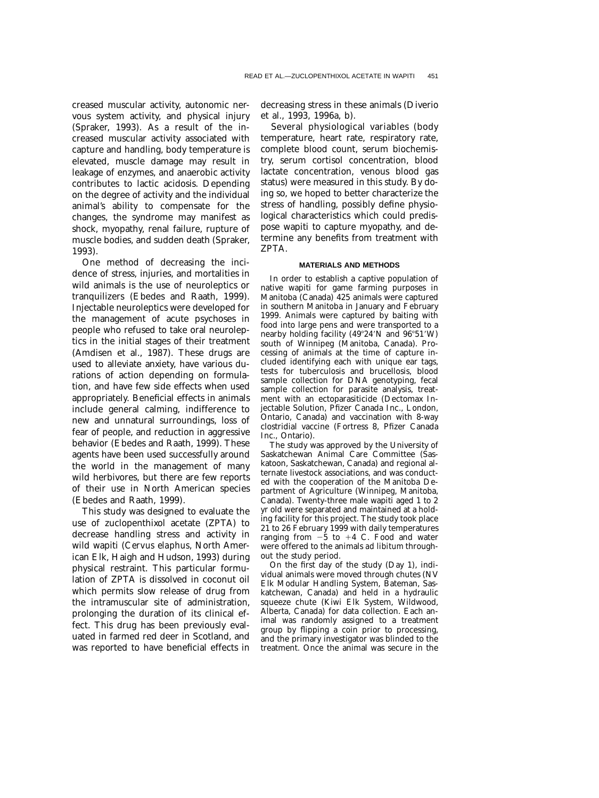creased muscular activity, autonomic nervous system activity, and physical injury (Spraker, 1993). As a result of the increased muscular activity associated with capture and handling, body temperature is elevated, muscle damage may result in leakage of enzymes, and anaerobic activity contributes to lactic acidosis. Depending on the degree of activity and the individual animal's ability to compensate for the changes, the syndrome may manifest as shock, myopathy, renal failure, rupture of muscle bodies, and sudden death (Spraker, 1993).

One method of decreasing the incidence of stress, injuries, and mortalities in wild animals is the use of neuroleptics or tranquilizers (Ebedes and Raath, 1999). Injectable neuroleptics were developed for the management of acute psychoses in people who refused to take oral neuroleptics in the initial stages of their treatment (Amdisen et al., 1987). These drugs are used to alleviate anxiety, have various durations of action depending on formulation, and have few side effects when used appropriately. Beneficial effects in animals include general calming, indifference to new and unnatural surroundings, loss of fear of people, and reduction in aggressive behavior (Ebedes and Raath, 1999). These agents have been used successfully around the world in the management of many wild herbivores, but there are few reports of their use in North American species (Ebedes and Raath, 1999).

This study was designed to evaluate the use of zuclopenthixol acetate (ZPTA) to decrease handling stress and activity in wild wapiti (*Cervus elaphus,* North American Elk, Haigh and Hudson, 1993) during physical restraint. This particular formulation of ZPTA is dissolved in coconut oil which permits slow release of drug from the intramuscular site of administration, prolonging the duration of its clinical effect. This drug has been previously evaluated in farmed red deer in Scotland, and was reported to have beneficial effects in

decreasing stress in these animals (Diverio et al., 1993, 1996a, b).

Several physiological variables (body temperature, heart rate, respiratory rate, complete blood count, serum biochemistry, serum cortisol concentration, blood lactate concentration, venous blood gas status) were measured in this study. By doing so, we hoped to better characterize the stress of handling, possibly define physiological characteristics which could predispose wapiti to capture myopathy, and determine any benefits from treatment with ZPTA.

## **MATERIALS AND METHODS**

In order to establish a captive population of native wapiti for game farming purposes in Manitoba (Canada) 425 animals were captured in southern Manitoba in January and February 1999. Animals were captured by baiting with food into large pens and were transported to a nearby holding facility (49°24′N and 96°51′W) south of Winnipeg (Manitoba, Canada). Processing of animals at the time of capture included identifying each with unique ear tags, tests for tuberculosis and brucellosis, blood sample collection for DNA genotyping, fecal sample collection for parasite analysis, treatment with an ectoparasiticide (Dectomax Injectable Solution, Pfizer Canada Inc., London, Ontario, Canada) and vaccination with 8-way clostridial vaccine (Fortress 8, Pfizer Canada Inc., Ontario).

The study was approved by the University of Saskatchewan Animal Care Committee (Saskatoon, Saskatchewan, Canada) and regional alternate livestock associations, and was conducted with the cooperation of the Manitoba Department of Agriculture (Winnipeg, Manitoba, Canada). Twenty-three male wapiti aged 1 to 2 yr old were separated and maintained at a holding facility for this project. The study took place 21 to 26 February 1999 with daily temperatures ranging from  $-5$  to  $+4$  C. Food and water were offered to the animals *ad libitum* throughout the study period.

On the first day of the study (Day 1), individual animals were moved through chutes (NV Elk Modular Handling System, Bateman, Saskatchewan, Canada) and held in a hydraulic squeeze chute (Kiwi Elk System, Wildwood, Alberta, Canada) for data collection. Each animal was randomly assigned to a treatment group by flipping a coin prior to processing, and the primary investigator was blinded to the treatment. Once the animal was secure in the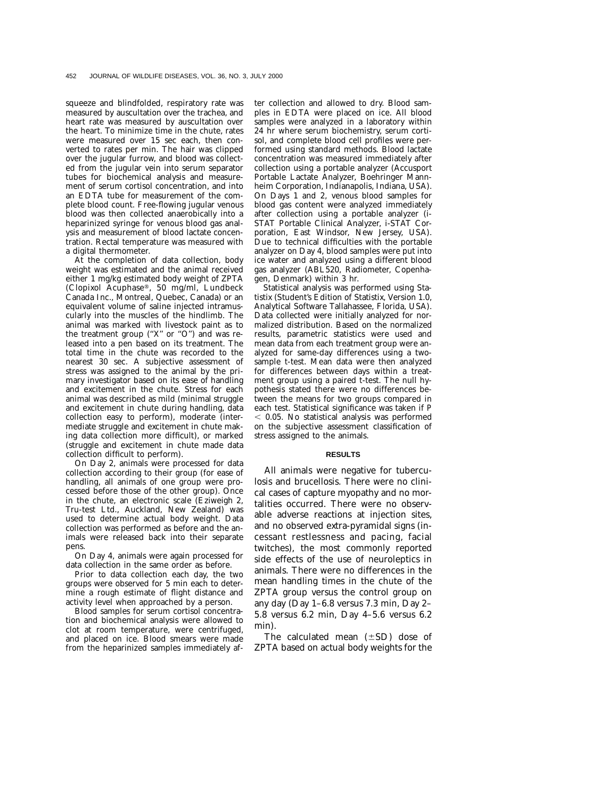squeeze and blindfolded, respiratory rate was measured by auscultation over the trachea, and heart rate was measured by auscultation over the heart. To minimize time in the chute, rates were measured over 15 sec each, then converted to rates per min. The hair was clipped over the jugular furrow, and blood was collected from the jugular vein into serum separator tubes for biochemical analysis and measurement of serum cortisol concentration, and into an EDTA tube for measurement of the complete blood count. Free-flowing jugular venous blood was then collected anaerobically into a heparinized syringe for venous blood gas analysis and measurement of blood lactate concentration. Rectal temperature was measured with a digital thermometer.

At the completion of data collection, body weight was estimated and the animal received either 1 mg/kg estimated body weight of ZPTA (Clopixol Acuphase®, 50 mg/ml, Lundbeck Canada Inc., Montreal, Quebec, Canada) or an equivalent volume of saline injected intramuscularly into the muscles of the hindlimb. The animal was marked with livestock paint as to the treatment group ("X" or "O") and was released into a pen based on its treatment. The total time in the chute was recorded to the nearest 30 sec. A subjective assessment of stress was assigned to the animal by the primary investigator based on its ease of handling and excitement in the chute. Stress for each animal was described as mild (minimal struggle and excitement in chute during handling, data collection easy to perform), moderate (intermediate struggle and excitement in chute making data collection more difficult), or marked (struggle and excitement in chute made data collection difficult to perform).

On Day 2, animals were processed for data collection according to their group (for ease of handling, all animals of one group were processed before those of the other group). Once in the chute, an electronic scale (Eziweigh 2, Tru-test Ltd., Auckland, New Zealand) was used to determine actual body weight. Data collection was performed as before and the animals were released back into their separate pens.

On Day 4, animals were again processed for data collection in the same order as before.

Prior to data collection each day, the two groups were observed for 5 min each to determine a rough estimate of flight distance and activity level when approached by a person.

Blood samples for serum cortisol concentration and biochemical analysis were allowed to clot at room temperature, were centrifuged, and placed on ice. Blood smears were made from the heparinized samples immediately after collection and allowed to dry. Blood samples in EDTA were placed on ice. All blood samples were analyzed in a laboratory within 24 hr where serum biochemistry, serum cortisol, and complete blood cell profiles were performed using standard methods. Blood lactate concentration was measured immediately after collection using a portable analyzer (Accusport Portable Lactate Analyzer, Boehringer Mannheim Corporation, Indianapolis, Indiana, USA). On Days 1 and 2, venous blood samples for blood gas content were analyzed immediately after collection using a portable analyzer (i-STAT Portable Clinical Analyzer, i-STAT Corporation, East Windsor, New Jersey, USA). Due to technical difficulties with the portable analyzer on Day 4, blood samples were put into ice water and analyzed using a different blood gas analyzer (ABL520, Radiometer, Copenhagen, Denmark) within 3 hr.

Statistical analysis was performed using Statistix (Student's Edition of Statistix, Version 1.0, Analytical Software Tallahassee, Florida, USA). Data collected were initially analyzed for normalized distribution. Based on the normalized results, parametric statistics were used and mean data from each treatment group were analyzed for same-day differences using a twosample *t*-test. Mean data were then analyzed for differences between days within a treatment group using a paired *t*-test. The null hypothesis stated there were no differences between the means for two groups compared in each test. Statistical significance was taken if *P*  $<$  0.05. No statistical analysis was performed on the subjective assessment classification of stress assigned to the animals.

#### **RESULTS**

All animals were negative for tuberculosis and brucellosis. There were no clinical cases of capture myopathy and no mortalities occurred. There were no observable adverse reactions at injection sites, and no observed extra-pyramidal signs (incessant restlessness and pacing, facial twitches), the most commonly reported side effects of the use of neuroleptics in animals. There were no differences in the mean handling times in the chute of the ZPTA group versus the control group on any day (Day 1–6.8 versus 7.3 min, Day 2– 5.8 versus 6.2 min, Day 4–5.6 versus 6.2 min).

The calculated mean  $(\pm SD)$  dose of ZPTA based on actual body weights for the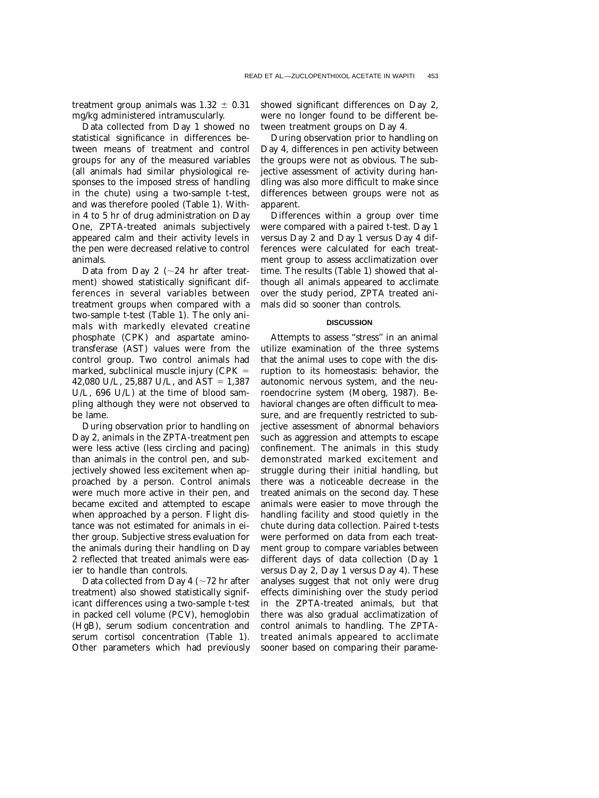treatment group animals was  $1.32 \pm 0.31$ mg/kg administered intramuscularly.

Data collected from Day 1 showed no statistical significance in differences between means of treatment and control groups for any of the measured variables (all animals had similar physiological responses to the imposed stress of handling in the chute) using a two-sample *t*-test, and was therefore pooled (Table 1). Within 4 to 5 hr of drug administration on Day One, ZPTA-treated animals subjectively appeared calm and their activity levels in the pen were decreased relative to control animals.

Data from Day 2 ( $\sim$ 24 hr after treatment) showed statistically significant differences in several variables between treatment groups when compared with a two-sample *t*-test (Table 1). The only animals with markedly elevated creatine phosphate (CPK) and aspartate aminotransferase (AST) values were from the control group. Two control animals had marked, subclinical muscle injury (CPK 42,080 U/L, 25,887 U/L, and AST =  $1,387$ U/L, 696 U/L) at the time of blood sampling although they were not observed to be lame.

During observation prior to handling on Day 2, animals in the ZPTA-treatment pen were less active (less circling and pacing) than animals in the control pen, and subjectively showed less excitement when approached by a person. Control animals were much more active in their pen, and became excited and attempted to escape when approached by a person. Flight distance was not estimated for animals in either group. Subjective stress evaluation for the animals during their handling on Day 2 reflected that treated animals were easier to handle than controls.

Data collected from Day 4 ( $\sim$ 72 hr after treatment) also showed statistically significant differences using a two-sample *t*-test in packed cell volume (PCV), hemoglobin (HgB), serum sodium concentration and serum cortisol concentration (Table 1). Other parameters which had previously showed significant differences on Day 2, were no longer found to be different between treatment groups on Day 4.

During observation prior to handling on Day 4, differences in pen activity between the groups were not as obvious. The subjective assessment of activity during handling was also more difficult to make since differences between groups were not as apparent.

Differences within a group over time were compared with a paired *t*-test. Day 1 versus Day 2 and Day 1 versus Day 4 differences were calculated for each treatment group to assess acclimatization over time. The results (Table 1) showed that although all animals appeared to acclimate over the study period, ZPTA treated animals did so sooner than controls.

# **DISCUSSION**

Attempts to assess ''stress'' in an animal utilize examination of the three systems that the animal uses to cope with the disruption to its homeostasis: behavior, the autonomic nervous system, and the neuroendocrine system (Moberg, 1987). Behavioral changes are often difficult to measure, and are frequently restricted to subjective assessment of abnormal behaviors such as aggression and attempts to escape confinement. The animals in this study demonstrated marked excitement and struggle during their initial handling, but there was a noticeable decrease in the treated animals on the second day. These animals were easier to move through the handling facility and stood quietly in the chute during data collection. Paired *t*-tests were performed on data from each treatment group to compare variables between different days of data collection (Day 1 versus Day 2, Day 1 versus Day 4). These analyses suggest that not only were drug effects diminishing over the study period in the ZPTA-treated animals, but that there was also gradual acclimatization of control animals to handling. The ZPTAtreated animals appeared to acclimate sooner based on comparing their parame-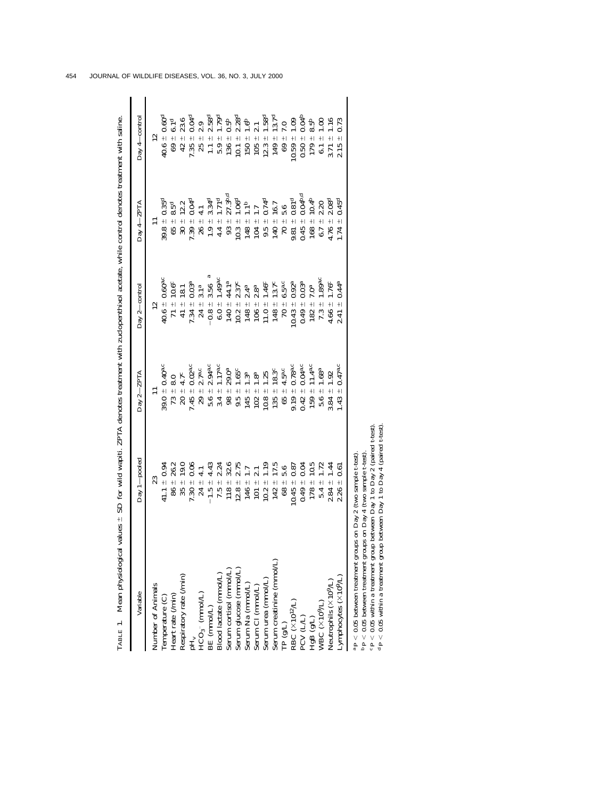| $\frac{1}{2}$                                                                                             |
|-----------------------------------------------------------------------------------------------------------|
|                                                                                                           |
|                                                                                                           |
|                                                                                                           |
|                                                                                                           |
|                                                                                                           |
|                                                                                                           |
|                                                                                                           |
| $\frac{1}{2}$                                                                                             |
|                                                                                                           |
|                                                                                                           |
|                                                                                                           |
| ֧֧֢ׅ֧֢ׅ֧֧֧֧֧֧֧֚֚֚֚֚֚֚֚֚֚֚֚֚֚֚֚֚֚֚֚֚֚֚֚֝֝֓֓֡֓֓֓֓֓֞֓֝֓֝֬֝֓֝֬֝֬֝֬                                            |
|                                                                                                           |
| ֖֖֪ׅ֪֪֪֪֪֪֪֛֪֪֛֚֚֚֚֚֚֚֚֚֚֬֝֝֝֝֬֝֬֝֬֝֬֝֬֝֬֝֬֝֬֝֬֝֓                                                         |
|                                                                                                           |
|                                                                                                           |
|                                                                                                           |
|                                                                                                           |
|                                                                                                           |
|                                                                                                           |
|                                                                                                           |
|                                                                                                           |
| <br> <br>                                                                                                 |
|                                                                                                           |
| İ                                                                                                         |
|                                                                                                           |
| ĺ                                                                                                         |
| <br> <br>                                                                                                 |
|                                                                                                           |
| $\begin{array}{c} \n\vdots \\ \vdots \\ \vdots\n\end{array}$<br>$\frac{1}{2}$<br>$\overline{\phantom{a}}$ |
|                                                                                                           |
| ו<br>3<br>$\overline{\phantom{a}}$<br>l                                                                   |
| ť<br>i                                                                                                    |
| ļ<br>I<br>i                                                                                               |
| i<br>j<br>Ì                                                                                               |
| ١                                                                                                         |
| I                                                                                                         |
| l                                                                                                         |
|                                                                                                           |
| l<br>i<br>$\overline{\phantom{a}}$                                                                        |
| ı                                                                                                         |
|                                                                                                           |
| i                                                                                                         |
| $\frac{1}{1}$<br>ו<br>ו                                                                                   |
| ׇׅ֚֘֝֕֜                                                                                                   |

| TABLE 1. Mean physiological values ± SD for wild wapiti. ZPTA denotes treatment with zuclopenthixol acetate, while control denotes treatment with saline. |                                  |                                              |                                                           |                                                                      |                                                                                              |
|-----------------------------------------------------------------------------------------------------------------------------------------------------------|----------------------------------|----------------------------------------------|-----------------------------------------------------------|----------------------------------------------------------------------|----------------------------------------------------------------------------------------------|
| Variable                                                                                                                                                  | Day 1-pooled                     | Day $2-ZPTA$                                 | Day 2-control                                             | Day 4-ZPTA                                                           | Day 4-control                                                                                |
| Number of Animals                                                                                                                                         | 23                               |                                              | $\mathbf{r}$                                              |                                                                      | 12                                                                                           |
|                                                                                                                                                           | $41.1 \pm 0.94$                  | $39.0 \pm 0.40$ <sup>a.c</sup>               | $40.6 \pm 0.60^{\rm a.c}$                                 | $39.8 \pm 0.35$ <sup>d</sup>                                         | $40.6 \pm 0.60^{\rm d}$                                                                      |
| $\begin{array}{l} \mbox{Temperature (C)}\\ \mbox{Heart rate (/min)} \end{array}$                                                                          | $-26.2$<br>86                    | $73 \pm 8.0$                                 | 10.6c<br>$71 +$                                           | $65\ \pm\ 8.5^{\rm d}$                                               | $69 \pm 6.1^{\rm d}$                                                                         |
| Respiratory rate (/min)                                                                                                                                   | 19.0<br>$+1$<br>35 <sub>5</sub>  | 4.7c<br>$20 \pm 4$                           | 18.1<br>$41 +$                                            | $30 + 12.2$                                                          | $42 \pm 23.6$                                                                                |
|                                                                                                                                                           | 0.06<br>$7.30 +$                 | $7.45 \pm 0.02^{\mathrm{a.c}}$               | 0.03 <sup>a</sup><br>$7.34 +$                             | 0.04 <sup>d</sup><br>$7.39 +$                                        | $7.35 \pm 0.04$ <sup>d</sup>                                                                 |
| $pH_v$<br>HCO <sub>3</sub> - (mmol/L)                                                                                                                     | $24 +$                           | 2.7a.c<br>$29 +$                             | 3.1 <sup>a</sup><br>$24 +$                                | $26 \pm$                                                             | $25 \pm 2.9$                                                                                 |
| BE (mmol/L)                                                                                                                                               | 4.43<br>$+1$<br>$-1.5$           | 2.94a.c<br>$+1$<br>5.6                       | s<br>3.56<br>$-0.8 +$                                     | 3.34 <sup>d</sup>                                                    | $2.58^{\rm d}$<br>$+1$                                                                       |
| Blood lactate (mmol/L)                                                                                                                                    | 2.24<br>$+1$<br>7.5              | 1.17 <sup>a</sup><br>$3.4 \pm$               | 1.49a.c<br>$6.0 +$                                        |                                                                      |                                                                                              |
|                                                                                                                                                           | 32.6<br>$+1$<br>118              | 29.0 <sup>a</sup><br>$+1$<br>$\overline{98}$ | 44.1ª<br>$140 +$                                          | $27.3b,d$<br>$1.9 \pm 3.34^d$<br>$4.4 \pm 1.71^d$<br>$93 \pm 27.3^b$ |                                                                                              |
|                                                                                                                                                           | 2.75<br>$12.8 +$                 | $1.65c$<br>$9.5 +$                           | 2.37c<br>$10.2~\pm$                                       | $1.06^{\rm d}$<br>$10.3 +$                                           |                                                                                              |
| Serum cortisol (mmol/L)<br>Serum glucose (mmol/L)<br>Serum Na (mmol/L)                                                                                    | 1.7<br>$\frac{1}{2}$<br>146      | 1.3 <sup>a</sup><br>$145 -$                  | 2.4 <sup>a</sup><br>$148 +$                               | $1.1^{\mathrm{b}}$<br>$+1$<br>148                                    | $5.9 \pm 1.79^d$<br>$136 \pm 0.5^b$<br>$10.1 \pm 2.28^d$<br>$150 \pm 1.6^b$<br>$105 \pm 2.1$ |
| Serum Cl (mmol/L)                                                                                                                                         | 2.1<br>$+1$<br>101               | 1.8 <sup>a</sup><br>$+1$<br>102              | 2.8 <sup>a</sup><br>$+1$<br>106                           | $104 \pm$                                                            |                                                                                              |
| Serum urea (mmol/L)                                                                                                                                       | 1.19<br>$+1$<br>10.2             | 1.25<br>$10.8 \pm$                           | 1.46 <sup>c</sup><br>$11.0 \pm$                           | 0.74 <sup>d</sup><br>$9.5 +$                                         | $1.58^{\rm d}$<br>$+1$<br>12.3                                                               |
| Serum creatinine (mmol/L)                                                                                                                                 | $17.5\,$<br>$+1$<br>142          | 18.3 <sup>c</sup><br>$+1$<br>135             | 13.7c<br>$148 +$                                          | 16.7<br>$+1$<br>140                                                  | 13.7 <sup>d</sup><br>$+1$<br>149                                                             |
| TP $(g/L)$                                                                                                                                                |                                  | 4.5 <sup>a,c</sup><br>$+1$<br>65             | 6.5a.c<br>$\pm 0$                                         | $\mathfrak{a}$                                                       | 0.7<br>$69 +$                                                                                |
| $\begin{array}{l} \text{RBC} \ (\times 10^{12} \text{L}) \\ \text{PCV (LL)} \\ \text{HgB (gL)} \\ \text{WBC (x10^9 \text{L})} \end{array}$                | $68 \pm 5.6$<br>10.45 $\pm$ 0.87 | 0.78a.c<br>$9.19 \pm$                        | $0.43 +$                                                  | $+ 5.6$<br>$+ 0.81$ d<br>9.81                                        | $0.59 \pm 1.09$                                                                              |
|                                                                                                                                                           | 0.04<br>$0.49 +$                 | 0.04 <sup>a,c</sup><br>$+1$<br>0.42          | $\frac{0.92^{\mathrm{a}}}{0.03^{\mathrm{a}}}$<br>$0.49 +$ | $t = 0.04b,d$<br>0.45                                                | $0.50 \pm 0.04^{\rm b}$                                                                      |
|                                                                                                                                                           | $10.5$<br>$\ddot{+}$<br>178      | 11.4a.c<br>$\ddot{+}$<br>159                 | 7.0 <sup>a</sup><br>$182 +$                               | 10.4 <sup>b</sup><br>$+1$<br>168                                     | $8.5^{\rm b}$<br>$\ddot{+}$<br>179                                                           |
|                                                                                                                                                           | 1.72<br>$+1$<br>5.4              | 1.68 <sup>a</sup><br>$+1$<br>5.6             | 1.89a.c<br>$+1$<br>7.3                                    | 2.20<br>$+1$<br>6.7                                                  | $+1$                                                                                         |
| Neutrophils (×10 <sup>9/L)</sup>                                                                                                                          | 1.44<br>$+1$<br>2.84             | 1.92<br>$3.84 +$                             | 1.76c<br>$+1$<br>4.66                                     | 2.08 <sup>d</sup><br>$+1$<br>4.76                                    | 1.16                                                                                         |
| Lymphocytes $(\times 10^9/L)$                                                                                                                             | 0.61<br>$+$<br>2.26              | 0.47 <sup>a</sup><br>$+$<br>1.43             | 0.44a<br>$+1$<br>2.41                                     | 0.45 <sup>d</sup><br>.74                                             | $+1$<br>2.15                                                                                 |
| $^{\rm a}$ P $<$ 0.05 between treatment groups on Day 2                                                                                                   | (two sample t-test)              |                                              |                                                           |                                                                      |                                                                                              |

bcd

 *P* 0.05 between treatment groups on Day 4 (two sample *t*-test). *P* 0.05 within a treatment group between Day 1 to Day 2 (paired *t*-test). *P* 0.05 within a treatment group between Day 1 to Day 4 (paired *t*-test).

454 JOURNAL OF WILDLIFE DISEASES, VOL. 36, NO. 3, JULY 2000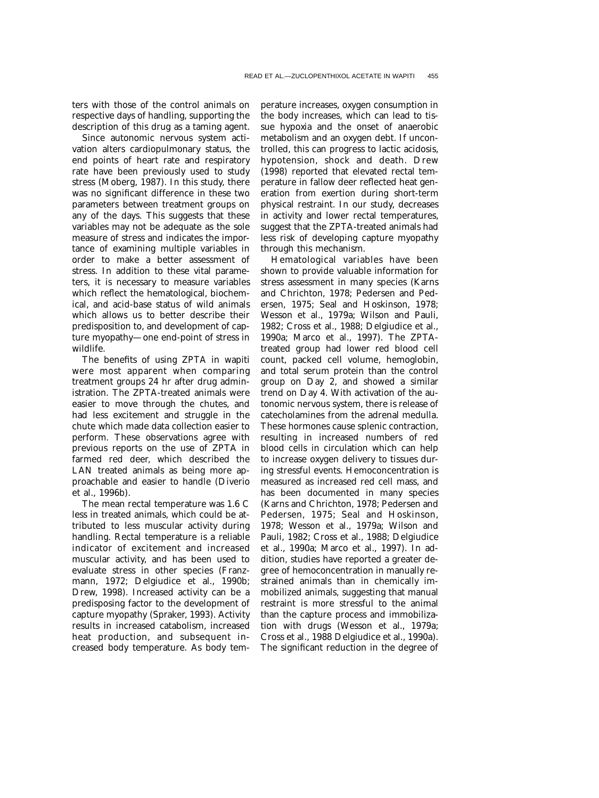ters with those of the control animals on respective days of handling, supporting the description of this drug as a taming agent.

Since autonomic nervous system activation alters cardiopulmonary status, the end points of heart rate and respiratory rate have been previously used to study stress (Moberg, 1987). In this study, there was no significant difference in these two parameters between treatment groups on any of the days. This suggests that these variables may not be adequate as the sole measure of stress and indicates the importance of examining multiple variables in order to make a better assessment of stress. In addition to these vital parameters, it is necessary to measure variables which reflect the hematological, biochemical, and acid-base status of wild animals which allows us to better describe their predisposition to, and development of capture myopathy—one end-point of stress in wildlife.

The benefits of using ZPTA in wapiti were most apparent when comparing treatment groups 24 hr after drug administration. The ZPTA-treated animals were easier to move through the chutes, and had less excitement and struggle in the chute which made data collection easier to perform. These observations agree with previous reports on the use of ZPTA in farmed red deer, which described the LAN treated animals as being more approachable and easier to handle (Diverio et al., 1996b).

The mean rectal temperature was 1.6 C less in treated animals, which could be attributed to less muscular activity during handling. Rectal temperature is a reliable indicator of excitement and increased muscular activity, and has been used to evaluate stress in other species (Franzmann, 1972; Delgiudice et al., 1990b; Drew, 1998). Increased activity can be a predisposing factor to the development of capture myopathy (Spraker, 1993). Activity results in increased catabolism, increased heat production, and subsequent increased body temperature. As body temperature increases, oxygen consumption in the body increases, which can lead to tissue hypoxia and the onset of anaerobic metabolism and an oxygen debt. If uncontrolled, this can progress to lactic acidosis, hypotension, shock and death. Drew (1998) reported that elevated rectal temperature in fallow deer reflected heat generation from exertion during short-term physical restraint. In our study, decreases in activity and lower rectal temperatures, suggest that the ZPTA-treated animals had less risk of developing capture myopathy through this mechanism.

Hematological variables have been shown to provide valuable information for stress assessment in many species (Karns and Chrichton, 1978; Pedersen and Pedersen, 1975; Seal and Hoskinson, 1978; Wesson et al., 1979a; Wilson and Pauli, 1982; Cross et al., 1988; Delgiudice et al., 1990a; Marco et al., 1997). The ZPTAtreated group had lower red blood cell count, packed cell volume, hemoglobin, and total serum protein than the control group on Day 2, and showed a similar trend on Day 4. With activation of the autonomic nervous system, there is release of catecholamines from the adrenal medulla. These hormones cause splenic contraction, resulting in increased numbers of red blood cells in circulation which can help to increase oxygen delivery to tissues during stressful events. Hemoconcentration is measured as increased red cell mass, and has been documented in many species (Karns and Chrichton, 1978; Pedersen and Pedersen, 1975; Seal and Hoskinson, 1978; Wesson et al., 1979a; Wilson and Pauli, 1982; Cross et al., 1988; Delgiudice et al., 1990a; Marco et al., 1997). In addition, studies have reported a greater degree of hemoconcentration in manually restrained animals than in chemically immobilized animals, suggesting that manual restraint is more stressful to the animal than the capture process and immobilization with drugs (Wesson et al., 1979a; Cross et al., 1988 Delgiudice et al., 1990a). The significant reduction in the degree of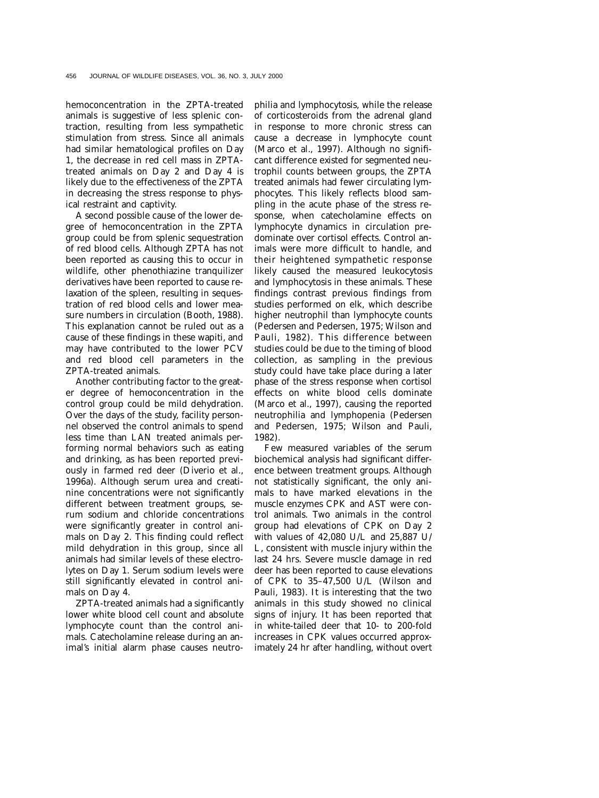hemoconcentration in the ZPTA-treated animals is suggestive of less splenic contraction, resulting from less sympathetic stimulation from stress. Since all animals had similar hematological profiles on Day 1, the decrease in red cell mass in ZPTAtreated animals on Day 2 and Day 4 is likely due to the effectiveness of the ZPTA in decreasing the stress response to physical restraint and captivity.

A second possible cause of the lower degree of hemoconcentration in the ZPTA group could be from splenic sequestration of red blood cells. Although ZPTA has not been reported as causing this to occur in wildlife, other phenothiazine tranquilizer derivatives have been reported to cause relaxation of the spleen, resulting in sequestration of red blood cells and lower measure numbers in circulation (Booth, 1988). This explanation cannot be ruled out as a cause of these findings in these wapiti, and may have contributed to the lower PCV and red blood cell parameters in the ZPTA-treated animals.

Another contributing factor to the greater degree of hemoconcentration in the control group could be mild dehydration. Over the days of the study, facility personnel observed the control animals to spend less time than LAN treated animals performing normal behaviors such as eating and drinking, as has been reported previously in farmed red deer (Diverio et al., 1996a). Although serum urea and creatinine concentrations were not significantly different between treatment groups, serum sodium and chloride concentrations were significantly greater in control animals on Day 2. This finding could reflect mild dehydration in this group, since all animals had similar levels of these electrolytes on Day 1. Serum sodium levels were still significantly elevated in control animals on Day 4.

ZPTA-treated animals had a significantly lower white blood cell count and absolute lymphocyte count than the control animals. Catecholamine release during an animal's initial alarm phase causes neutrophilia and lymphocytosis, while the release of corticosteroids from the adrenal gland in response to more chronic stress can cause a decrease in lymphocyte count (Marco et al., 1997). Although no significant difference existed for segmented neutrophil counts between groups, the ZPTA treated animals had fewer circulating lymphocytes. This likely reflects blood sampling in the acute phase of the stress response, when catecholamine effects on lymphocyte dynamics in circulation predominate over cortisol effects. Control animals were more difficult to handle, and their heightened sympathetic response likely caused the measured leukocytosis and lymphocytosis in these animals. These findings contrast previous findings from studies performed on elk, which describe higher neutrophil than lymphocyte counts (Pedersen and Pedersen, 1975; Wilson and Pauli, 1982). This difference between studies could be due to the timing of blood collection, as sampling in the previous study could have take place during a later phase of the stress response when cortisol effects on white blood cells dominate (Marco et al., 1997), causing the reported neutrophilia and lymphopenia (Pedersen and Pedersen, 1975; Wilson and Pauli, 1982).

Few measured variables of the serum biochemical analysis had significant difference between treatment groups. Although not statistically significant, the only animals to have marked elevations in the muscle enzymes CPK and AST were control animals. Two animals in the control group had elevations of CPK on Day 2 with values of 42,080 U/L and 25,887 U/ L, consistent with muscle injury within the last 24 hrs. Severe muscle damage in red deer has been reported to cause elevations of CPK to 35–47,500 U/L (Wilson and Pauli, 1983). It is interesting that the two animals in this study showed no clinical signs of injury. It has been reported that in white-tailed deer that 10- to 200-fold increases in CPK values occurred approximately 24 hr after handling, without overt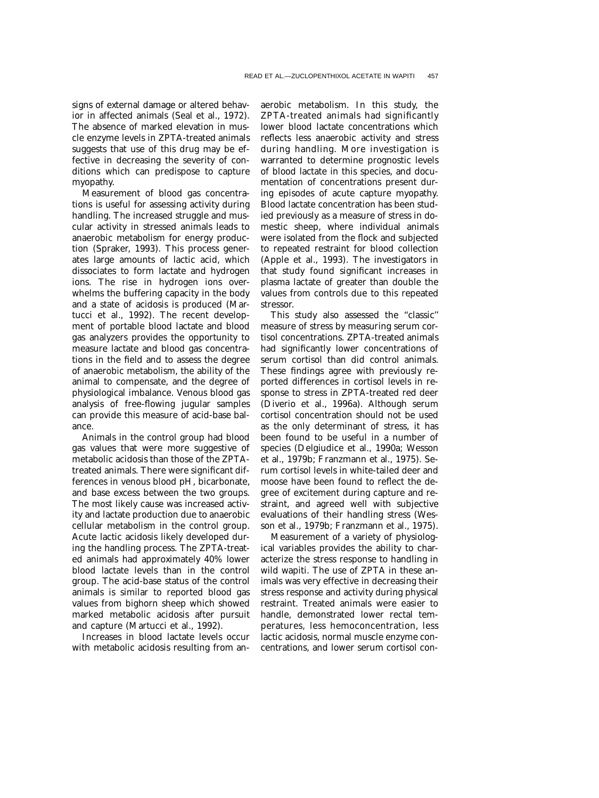signs of external damage or altered behavior in affected animals (Seal et al., 1972). The absence of marked elevation in muscle enzyme levels in ZPTA-treated animals suggests that use of this drug may be effective in decreasing the severity of conditions which can predispose to capture myopathy.

Measurement of blood gas concentrations is useful for assessing activity during handling. The increased struggle and muscular activity in stressed animals leads to anaerobic metabolism for energy production (Spraker, 1993). This process generates large amounts of lactic acid, which dissociates to form lactate and hydrogen ions. The rise in hydrogen ions overwhelms the buffering capacity in the body and a state of acidosis is produced (Martucci et al., 1992). The recent development of portable blood lactate and blood gas analyzers provides the opportunity to measure lactate and blood gas concentrations in the field and to assess the degree of anaerobic metabolism, the ability of the animal to compensate, and the degree of physiological imbalance. Venous blood gas analysis of free-flowing jugular samples can provide this measure of acid-base balance.

Animals in the control group had blood gas values that were more suggestive of metabolic acidosis than those of the ZPTAtreated animals. There were significant differences in venous blood pH, bicarbonate, and base excess between the two groups. The most likely cause was increased activity and lactate production due to anaerobic cellular metabolism in the control group. Acute lactic acidosis likely developed during the handling process. The ZPTA-treated animals had approximately 40% lower blood lactate levels than in the control group. The acid-base status of the control animals is similar to reported blood gas values from bighorn sheep which showed marked metabolic acidosis after pursuit and capture (Martucci et al., 1992).

Increases in blood lactate levels occur with metabolic acidosis resulting from anaerobic metabolism. In this study, the ZPTA-treated animals had significantly lower blood lactate concentrations which reflects less anaerobic activity and stress during handling. More investigation is warranted to determine prognostic levels of blood lactate in this species, and documentation of concentrations present during episodes of acute capture myopathy. Blood lactate concentration has been studied previously as a measure of stress in domestic sheep, where individual animals were isolated from the flock and subjected to repeated restraint for blood collection (Apple et al., 1993). The investigators in that study found significant increases in plasma lactate of greater than double the values from controls due to this repeated stressor.

This study also assessed the ''classic'' measure of stress by measuring serum cortisol concentrations. ZPTA-treated animals had significantly lower concentrations of serum cortisol than did control animals. These findings agree with previously reported differences in cortisol levels in response to stress in ZPTA-treated red deer (Diverio et al., 1996a). Although serum cortisol concentration should not be used as the only determinant of stress, it has been found to be useful in a number of species (Delgiudice et al., 1990a; Wesson et al., 1979b; Franzmann et al., 1975). Serum cortisol levels in white-tailed deer and moose have been found to reflect the degree of excitement during capture and restraint, and agreed well with subjective evaluations of their handling stress (Wesson et al., 1979b; Franzmann et al., 1975).

Measurement of a variety of physiological variables provides the ability to characterize the stress response to handling in wild wapiti. The use of ZPTA in these animals was very effective in decreasing their stress response and activity during physical restraint. Treated animals were easier to handle, demonstrated lower rectal temperatures, less hemoconcentration, less lactic acidosis, normal muscle enzyme concentrations, and lower serum cortisol con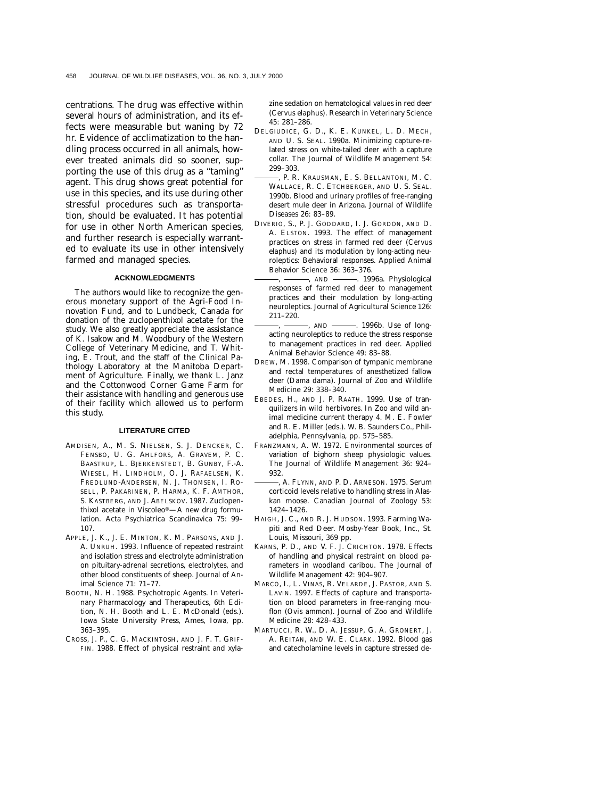centrations. The drug was effective within several hours of administration, and its effects were measurable but waning by 72 hr. Evidence of acclimatization to the handling process occurred in all animals, however treated animals did so sooner, supporting the use of this drug as a ''taming'' agent. This drug shows great potential for use in this species, and its use during other stressful procedures such as transportation, should be evaluated. It has potential for use in other North American species, and further research is especially warranted to evaluate its use in other intensively farmed and managed species.

## **ACKNOWLEDGMENTS**

The authors would like to recognize the generous monetary support of the Agri-Food Innovation Fund, and to Lundbeck, Canada for donation of the zuclopenthixol acetate for the study. We also greatly appreciate the assistance of K. Isakow and M. Woodbury of the Western College of Veterinary Medicine, and T. Whiting, E. Trout, and the staff of the Clinical Pathology Laboratory at the Manitoba Department of Agriculture. Finally, we thank L. Janz and the Cottonwood Corner Game Farm for their assistance with handling and generous use of their facility which allowed us to perform this study.

## **LITERATURE CITED**

- AMDISEN, A., M. S. NIELSEN, S. J. DENCKER, C. FENSBO, U. G. AHLFORS, A. GRAVEM, P. C. BAASTRUP, L. BJERKENSTEDT, B. GUNBY, F.-A. WIESEL, H. LINDHOLM, O. J. RAFAELSEN, K. FREDLUND-ANDERSEN, N. J. THOMSEN, I. RO-SELL, P. PAKARINEN, P. HARMA, K. F. AMTHOR, S. KASTBERG, AND J. ABELSKOV. 1987. Zuclopenthixol acetate in Viscoleo®—A new drug formulation. Acta Psychiatrica Scandinavica 75: 99– 107.
- APPLE, J. K., J. E. MINTON, K. M. PARSONS, AND J. A. UNRUH. 1993. Influence of repeated restraint and isolation stress and electrolyte administration on pituitary-adrenal secretions, electrolytes, and other blood constituents of sheep. Journal of Animal Science 71: 71–77.
- BOOTH, N. H. 1988. Psychotropic Agents. *In* Veterinary Pharmacology and Therapeutics, 6th Edition, N. H. Booth and L. E. McDonald (eds.). Iowa State University Press, Ames, Iowa, pp. 363–395.
- CROSS, J. P., C. G. MACKINTOSH, AND J. F. T. GRIF-FIN. 1988. Effect of physical restraint and xyla-

zine sedation on hematological values in red deer (*Cervus elaphus*). Research in Veterinary Science 45: 281–286.

- DELGIUDICE, G. D., K. E. KUNKEL, L. D. MECH, AND U. S. SEAL. 1990a. Minimizing capture-related stress on white-tailed deer with a capture collar. The Journal of Wildlife Management 54: 299–303.
- , P. R. KRAUSMAN, E. S. BELLANTONI, M. C. WALLACE, R. C. ETCHBERGER, AND U. S. SEAL. 1990b. Blood and urinary profiles of free-ranging desert mule deer in Arizona. Journal of Wildlife Diseases 26: 83–89.
- DIVERIO, S., P. J. GODDARD, I. J. GORDON, AND D. A. ELSTON. 1993. The effect of management practices on stress in farmed red deer (*Cervus elaphus*) and its modulation by long-acting neuroleptics: Behavioral responses. Applied Animal Behavior Science 36: 363–376.
	- $-$ , AND  $-$ , 1996a. Physiological responses of farmed red deer to management practices and their modulation by long-acting neuroleptics. Journal of Agricultural Science 126: 211–220.
- $-$ , AND  $\longrightarrow$  1996b. Use of longacting neuroleptics to reduce the stress response to management practices in red deer. Applied Animal Behavior Science 49: 83–88.
- DREW, M. 1998. Comparison of tympanic membrane and rectal temperatures of anesthetized fallow deer (*Dama dama*). Journal of Zoo and Wildlife Medicine 29: 338–340.
- EBEDES, H., AND J. P. RAATH. 1999. Use of tranquilizers in wild herbivores. *In* Zoo and wild animal medicine current therapy 4. M. E. Fowler and R. E. Miller (eds.). W. B. Saunders Co., Philadelphia, Pennsylvania, pp. 575–585.
- FRANZMANN, A. W. 1972. Environmental sources of variation of bighorn sheep physiologic values. The Journal of Wildlife Management 36: 924– 932.
- , A. FLYNN, AND P. D. ARNESON. 1975. Serum corticoid levels relative to handling stress in Alaskan moose. Canadian Journal of Zoology 53: 1424–1426.
- HAIGH, J. C., AND R. J. HUDSON. 1993. Farming Wapiti and Red Deer. Mosby-Year Book, Inc., St. Louis, Missouri, 369 pp.
- KARNS, P. D., AND V. F. J. CRICHTON. 1978. Effects of handling and physical restraint on blood parameters in woodland caribou. The Journal of Wildlife Management 42: 904–907.
- MARCO, I., L. VINAS, R. VELARDE, J. PASTOR, AND S. LAVIN. 1997. Effects of capture and transportation on blood parameters in free-ranging mouflon (*Ovis ammon*). Journal of Zoo and Wildlife Medicine 28: 428–433.
- MARTUCCI, R. W., D. A. JESSUP, G. A. GRONERT, J. A. REITAN, AND W. E. CLARK. 1992. Blood gas and catecholamine levels in capture stressed de-